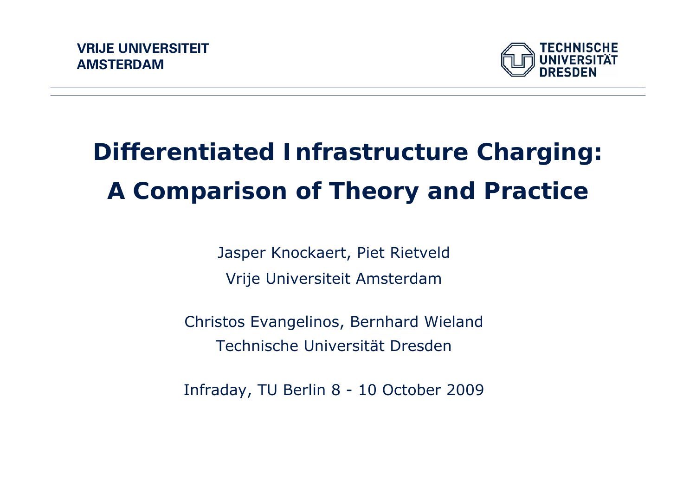

# **Differentiated Infrastructure Charging: A Comparison of Theory and Practice**

Jasper Knockaert, Piet Rietveld Vrije Universiteit Amsterdam

Christos Evangelinos, Bernhard Wieland Technische Universität Dresden

Infraday, TU Berlin 8 - 10 October 2009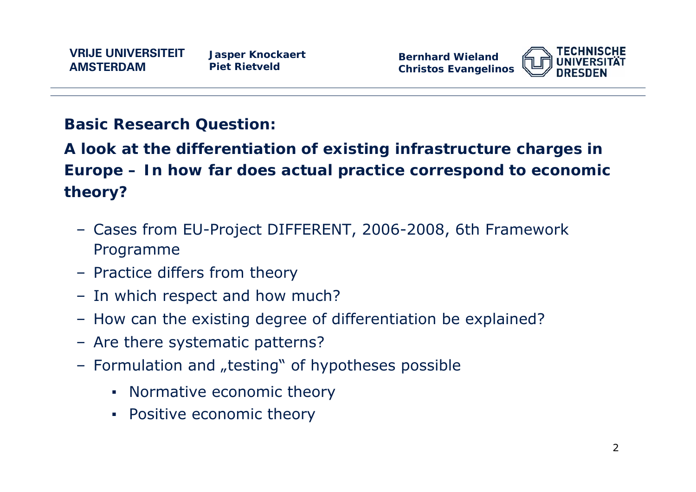**Bernhard WielandChristos Evangelinos**



### **Basic Research Question:**

**A look at the differentiation of existing infrastructure charges in Europe – In how far does actual practice correspond to economic theory?**

- Cases from EU-Project DIFFERENT, 2006-2008, 6th Framework Programme
- Practice differs from theory
- In which respect and how much?
- How can the existing degree of differentiation be explained?
- Are there systematic patterns?
- Formulation and "testing" of hypotheses possible
	- **Normative economic theory**
	- **Positive economic theory**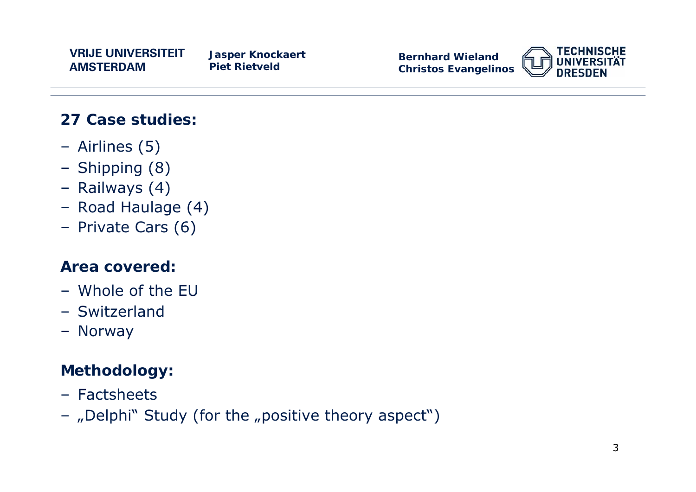**Jasper Knockaert Piet Rietveld**

**Bernhard WielandChristos Evangelinos**



### **27 Case studies:**

- Airlines (5)
- Shipping (8)
- Railways (4)
- Road Haulage (4)
- Private Cars (6)

### **Area covered:**

- Whole of the EU
- Switzerland
- Norway

### **Methodology:**

- Factsheets
- "Delphi" Study (for the "positive theory aspect")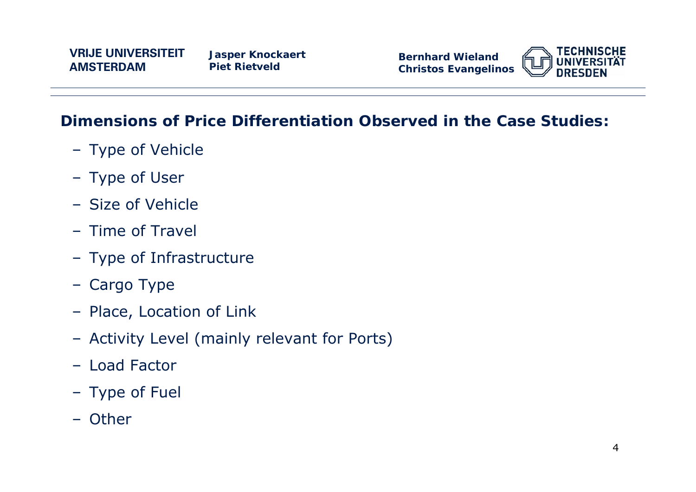**Bernhard WielandChristos Evangelinos**



### **Dimensions of Price Differentiation Observed in the Case Studies:**

- Type of Vehicle
- Type of User
- Size of Vehicle
- Time of Travel
- Type of Infrastructure
- Cargo Type
- Place, Location of Link
- Activity Level (mainly relevant for Ports)
- Load Factor
- Type of Fuel
- Other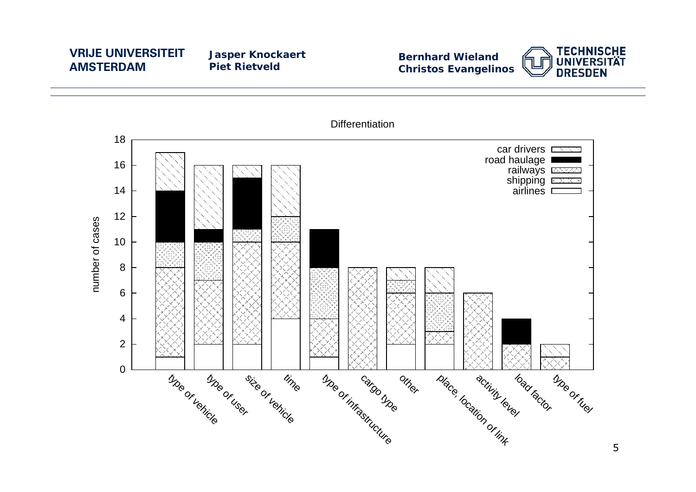**Jasper Knockaert Piet Rietveld**

**Bernhard Wieland Christos Evangelinos**





5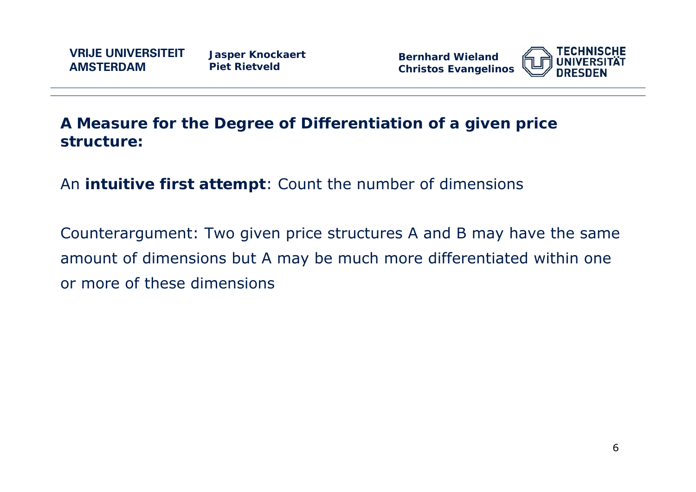**Jasper Knockaert Piet Rietveld**

**Bernhard WielandChristos Evangelinos**



### **A Measure for the Degree of Differentiation of a given price structure:**

An **intuitive first attempt**: Count the number of dimensions

Counterargument: Two given price structures A and B may have the same amount of dimensions but A may be much more differentiated within one or more of these dimensions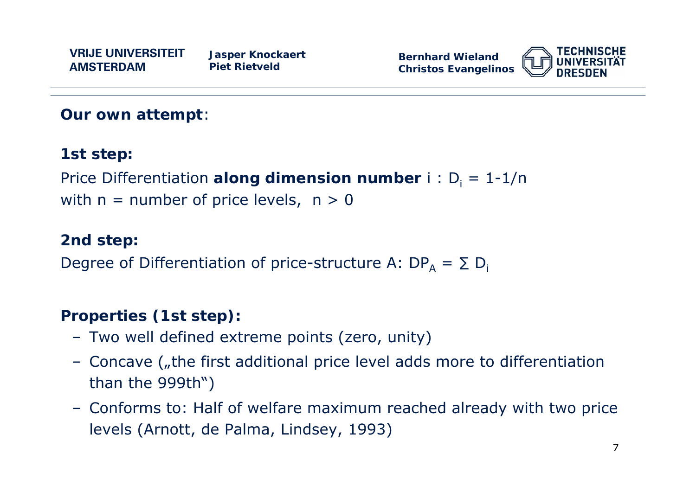

**Our own attempt**:

### **1st step:**

Price Differentiation a**long dimension number** i : D<sub>i</sub> = 1-1/n with  $n =$  number of price levels,  $n > 0$ 

### **2nd step:**

Degree of Differentiation of price-structure A: DP<sub>A</sub> =  $\Sigma$  D<sub>i</sub>

### **Properties (1st step):**

- Two well defined extreme points (zero, unity)
- Concave ("the first additional price level adds more to differentiation than the 999th")
- Conforms to: Half of welfare maximum reached already with two price levels (Arnott, de Palma, Lindsey, 1993)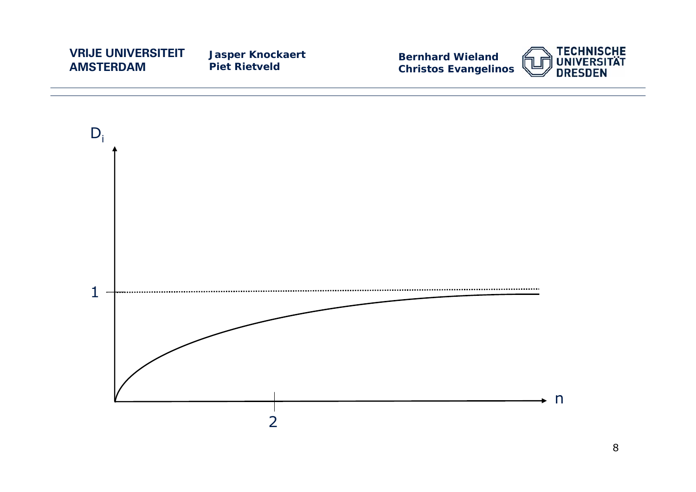**Jasper Knockaert Piet Rietveld**





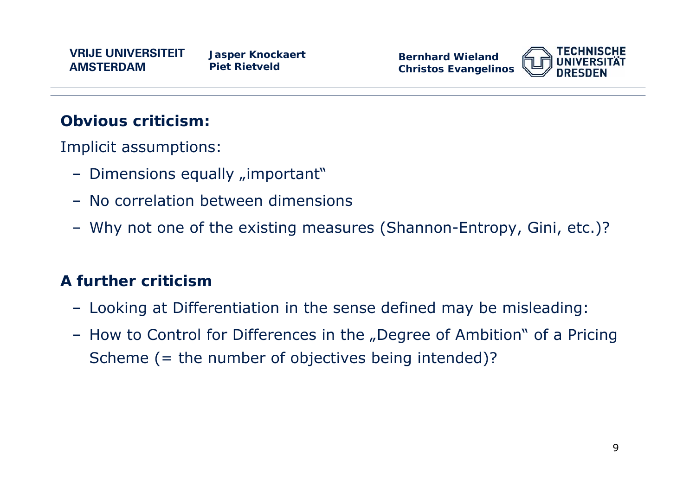

### **Obvious criticism:**

Implicit assumptions:

- Dimensions equally "important"
- No correlation between dimensions
- Why not one of the existing measures (Shannon-Entropy, Gini, etc.)?

### **A further criticism**

- Looking at Differentiation in the sense defined may be misleading:
- How to Control for Differences in the "Degree of Ambition" of a Pricing Scheme (= the number of objectives being intended)?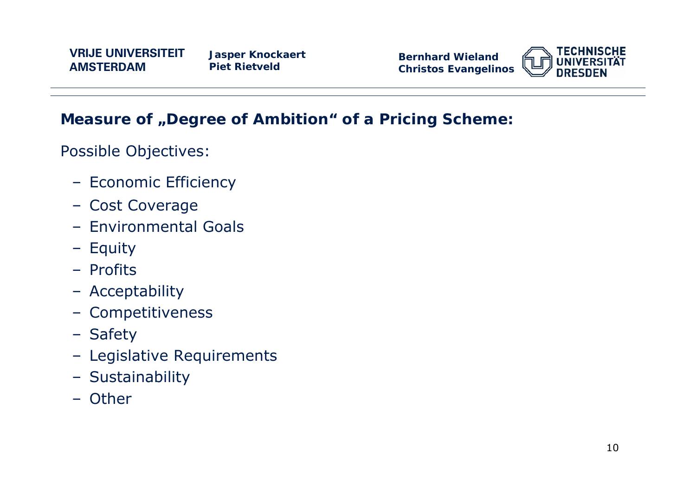**Bernhard WielandChristos Evangelinos**



### **Measure of "Degree of Ambition" of a Pricing Scheme:**

Possible Objectives:

- Economic Efficiency
- Cost Coverage
- Environmental Goals
- Equity
- Profits
- Acceptability
- Competitiveness
- Safety
- Legislative Requirements
- Sustainability
- Other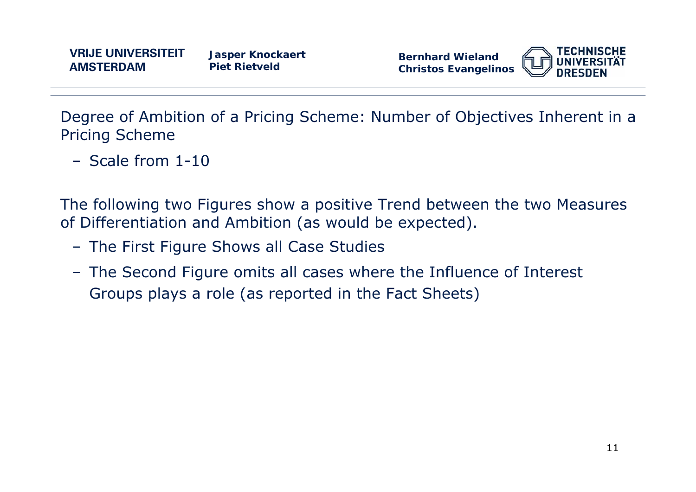**Jasper Knockaert Piet Rietveld**

**Bernhard WielandChristos Evangelinos**



Degree of Ambition of a Pricing Scheme: Number of Objectives Inherent in a Pricing Scheme

– Scale from 1-10

The following two Figures show a positive Trend between the two Measures of Differentiation and Ambition (as would be expected).

- The First Figure Shows *all* Case Studies
- The Second Figure omits all cases where the Influence of Interest Groups plays a role (as reported in the Fact Sheets)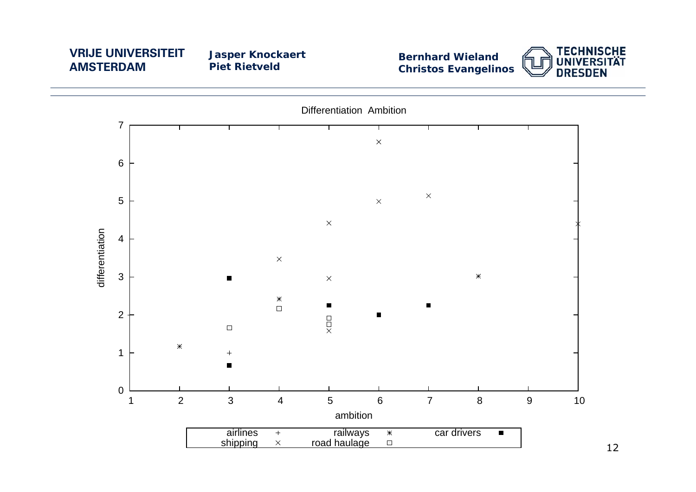**Jasper Knockaert Piet Rietveld**

**Bernhard Wieland Christos Evangelinos**





12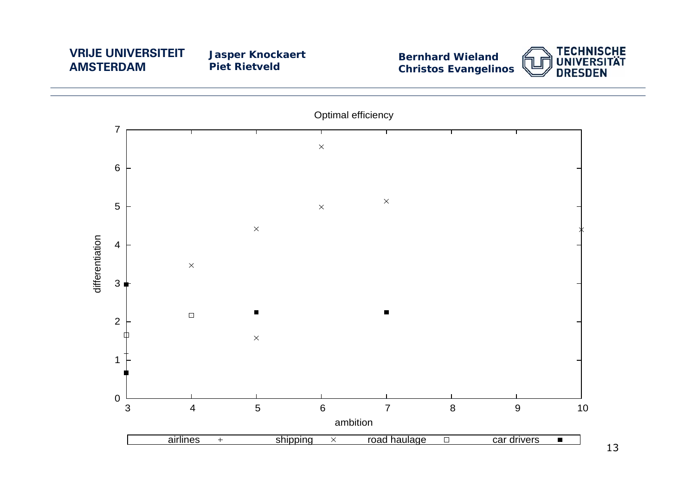**Jasper Knockaert Piet Rietveld**





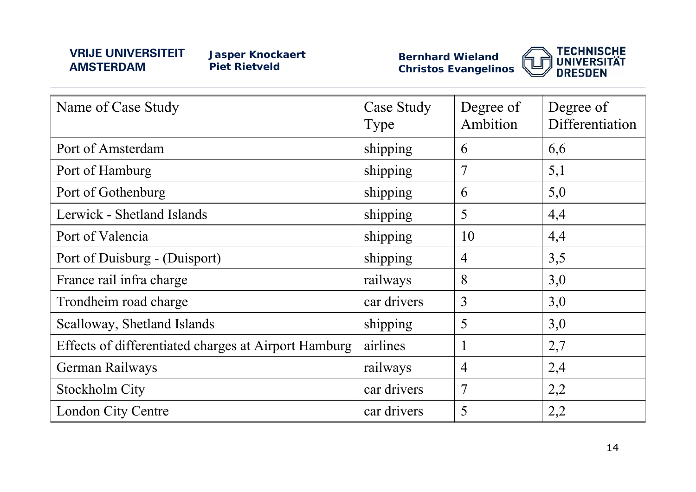**Jasper Knockaert Piet Rietveld**

**Bernhard Wieland Christos Evangelinos**



| Name of Case Study                                   | <b>Case Study</b><br>Type | Degree of<br>Ambition | Degree of<br>Differentiation |
|------------------------------------------------------|---------------------------|-----------------------|------------------------------|
| Port of Amsterdam                                    | shipping                  | 6                     | 6,6                          |
| Port of Hamburg                                      | shipping                  | 7                     | 5,1                          |
| Port of Gothenburg                                   | shipping                  | 6                     | 5,0                          |
| Lerwick - Shetland Islands                           | shipping                  | 5                     | 4,4                          |
| Port of Valencia                                     | shipping                  | 10                    | 4,4                          |
| Port of Duisburg - (Duisport)                        | shipping                  | $\overline{4}$        | 3,5                          |
| France rail infra charge                             | railways                  | 8                     | 3,0                          |
| Trondheim road charge                                | car drivers               | $\overline{3}$        | 3,0                          |
| Scalloway, Shetland Islands                          | shipping                  | 5                     | 3,0                          |
| Effects of differentiated charges at Airport Hamburg | airlines                  |                       | 2,7                          |
| German Railways                                      | railways                  | $\overline{4}$        | 2,4                          |
| <b>Stockholm City</b>                                | car drivers               | $\overline{7}$        | 2,2                          |
| <b>London City Centre</b>                            | car drivers               | 5                     | 2,2                          |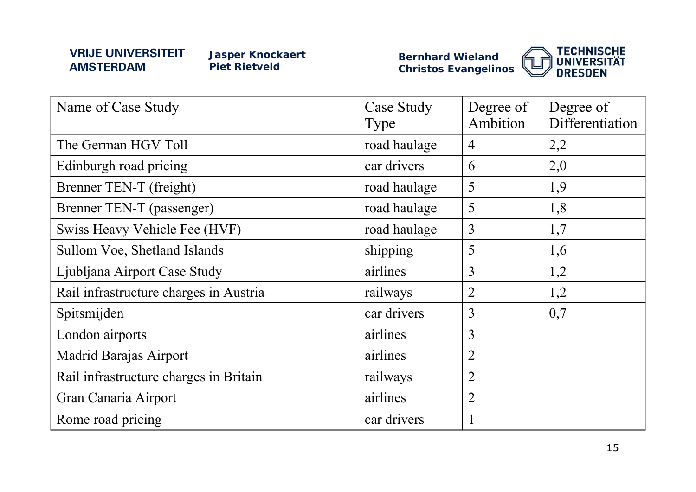**Jasper Knockaert Piet Rietveld**

**Bernhard Wieland Christos Evangelinos**



| Name of Case Study                     | <b>Case Study</b><br>Type | Degree of<br>Ambition | Degree of<br>Differentiation |
|----------------------------------------|---------------------------|-----------------------|------------------------------|
| The German HGV Toll                    | road haulage              | $\overline{4}$        | 2,2                          |
| Edinburgh road pricing                 | car drivers               | 6                     | 2,0                          |
| Brenner TEN-T (freight)                | road haulage              | 5                     | 1,9                          |
| Brenner TEN-T (passenger)              | road haulage              | 5                     | 1,8                          |
| Swiss Heavy Vehicle Fee (HVF)          | road haulage              | $\overline{3}$        | 1,7                          |
| Sullom Voe, Shetland Islands           | shipping                  | 5                     | 1,6                          |
| Ljubljana Airport Case Study           | airlines                  | 3                     | 1,2                          |
| Rail infrastructure charges in Austria | railways                  | $\overline{2}$        | 1,2                          |
| Spitsmijden                            | car drivers               | 3                     | 0,7                          |
| London airports                        | airlines                  | 3                     |                              |
| <b>Madrid Barajas Airport</b>          | airlines                  | $\overline{2}$        |                              |
| Rail infrastructure charges in Britain | railways                  | $\overline{2}$        |                              |
| Gran Canaria Airport                   | airlines                  | $\overline{2}$        |                              |
| Rome road pricing                      | car drivers               | $\mathbf{1}$          |                              |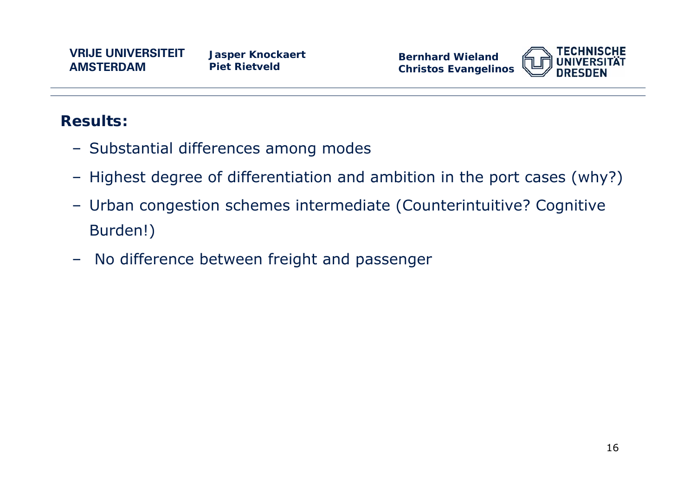

### **Results:**

- Substantial differences among modes
- Highest degree of differentiation and ambition in the port cases (why?)
- Urban congestion schemes intermediate (Counterintuitive? Cognitive Burden!)
- No difference between freight and passenger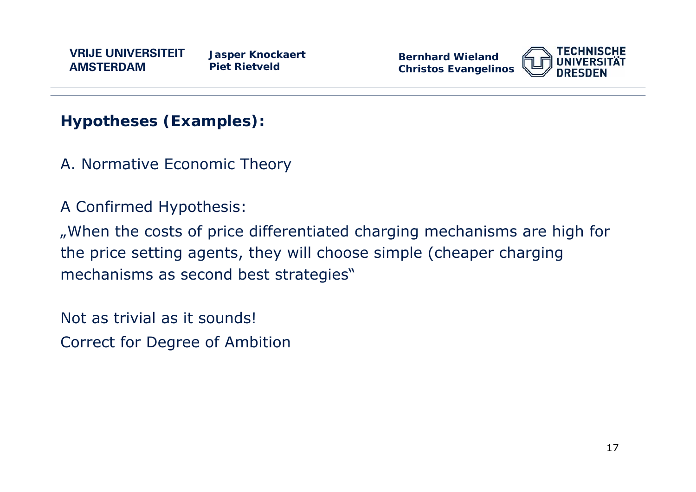**Bernhard WielandChristos Evangelinos**



**Hypotheses (Examples):** 

A. Normative Economic Theory

A Confirmed Hypothesis:

"When the costs of price differentiated charging mechanisms are high for the price setting agents, they will choose simple (cheaper charging mechanisms as second best strategies"

Not as trivial as it sounds!

Correct for Degree of Ambition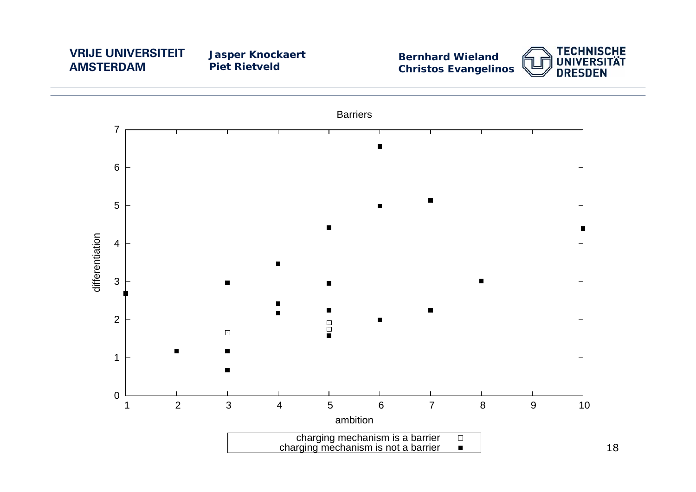**Jasper Knockaert Piet Rietveld**

**Bernhard Wieland Christos Evangelinos**



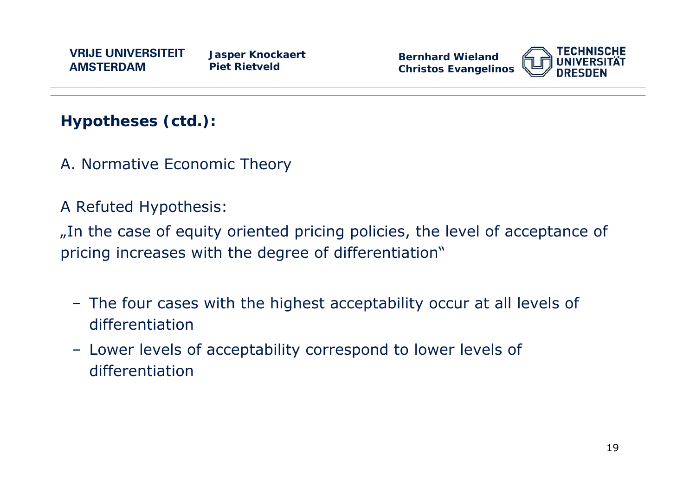

**Hypotheses (ctd.):** 

A. Normative Economic Theory

A Refuted Hypothesis:

"In the case of equity oriented pricing policies, the level of acceptance of pricing increases with the degree of differentiation"

- The four cases with the highest acceptability occur at all levels of differentiation
- Lower levels of acceptability correspond to lower levels of differentiation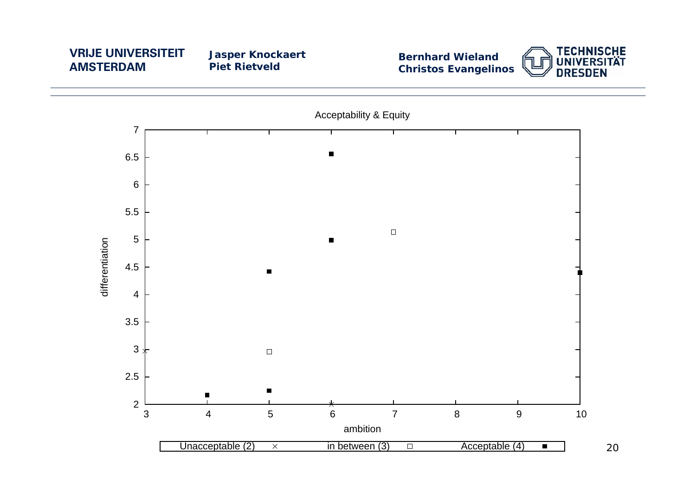**Jasper Knockaert Piet Rietveld**

**Bernhard Wieland Christos Evangelinos**



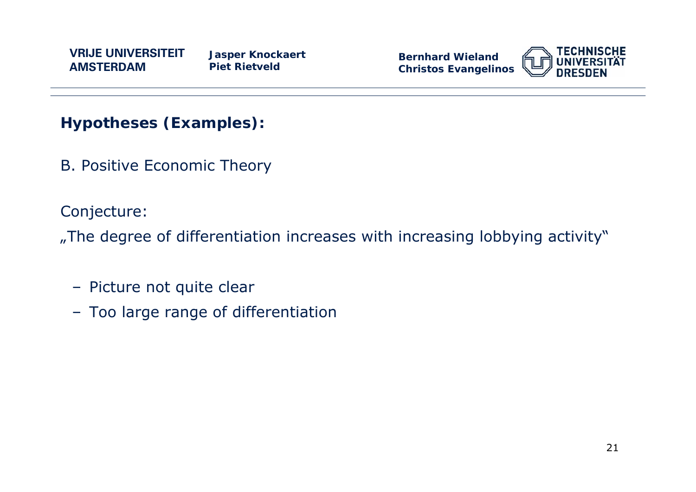

**Hypotheses (Examples):** 

B. Positive Economic Theory

Conjecture:

"The degree of differentiation increases with increasing lobbying activity"

- Picture not quite clear
- Too large range of differentiation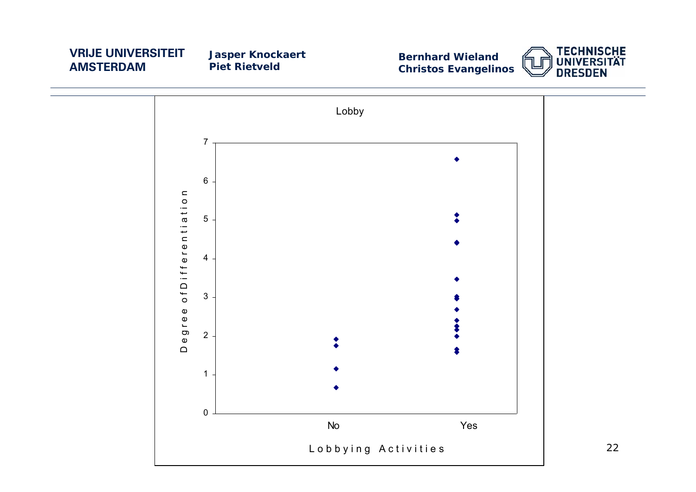**Jasper Knockaert Piet Rietveld**

**Bernhard Wieland Christos Evangelinos**





22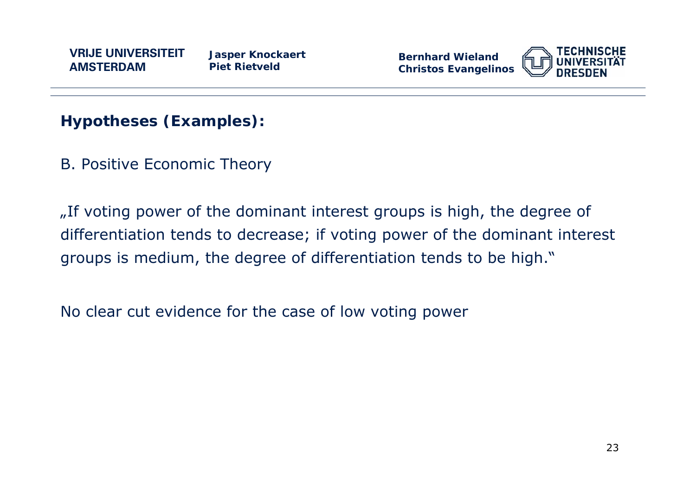**Bernhard WielandChristos Evangelinos**



**Hypotheses (Examples):** 

B. Positive Economic Theory

"If voting power of the dominant interest groups is high, the degree of differentiation tends to decrease; if voting power of the dominant interest groups is medium, the degree of differentiation tends to be high."

No clear cut evidence for the case of low voting power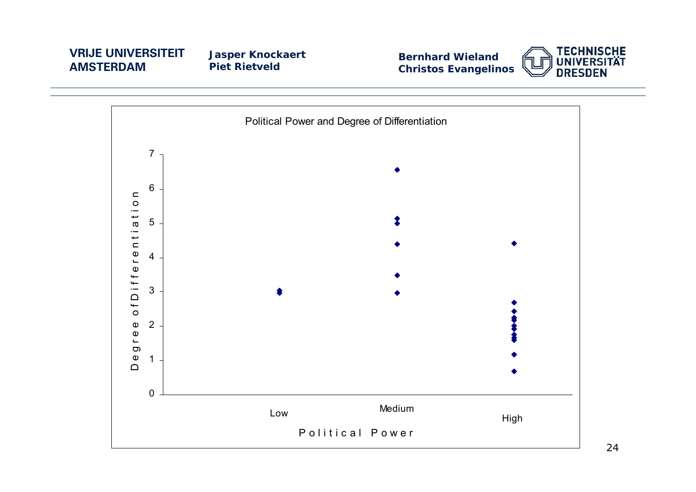**Jasper Knockaert Piet Rietveld**

**Bernhard Wieland Christos Evangelinos**



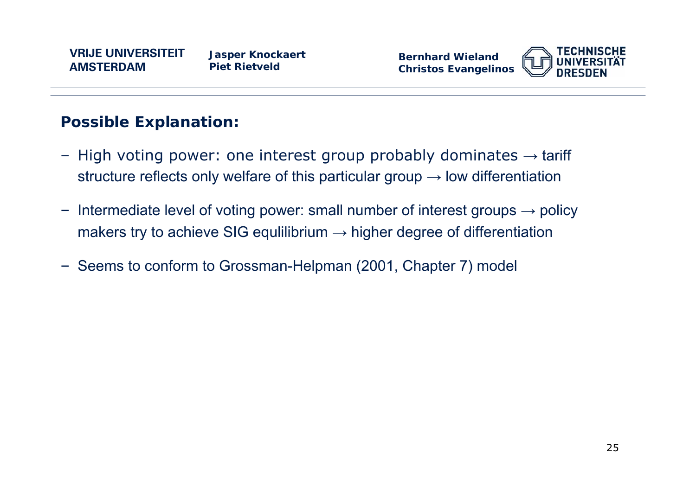

### **Possible Explanation:**

- High voting power: one interest group probably dominates  $\rightarrow$  tariff structure reflects only welfare of this particular group  $\rightarrow$  low differentiation
- Intermediate level of voting power: small number of interest groups  $\rightarrow$  policy makers try to achieve SIG equilibrium  $\rightarrow$  higher degree of differentiation
- Seems to conform to Grossman-Helpman (2001, Chapter 7) model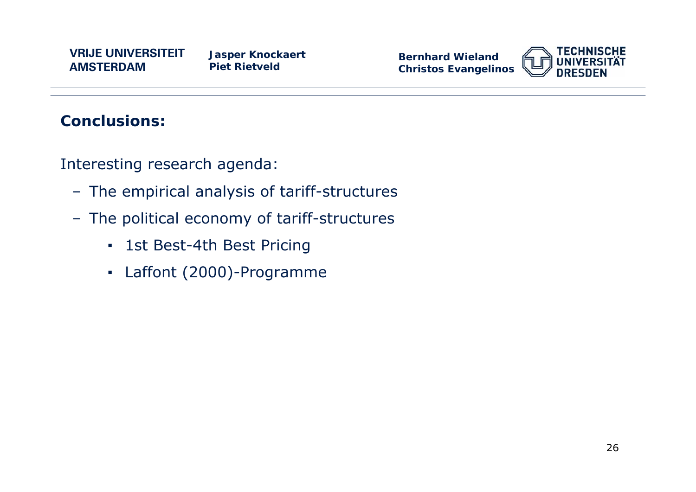**Jasper Knockaert Piet Rietveld**

**Bernhard WielandChristos Evangelinos**



### **Conclusions:**

Interesting research agenda:

- The empirical analysis of tariff-structures
- The political economy of tariff-structures
	- 1st Best-4th Best Pricing
	- Laffont (2000)-Programme